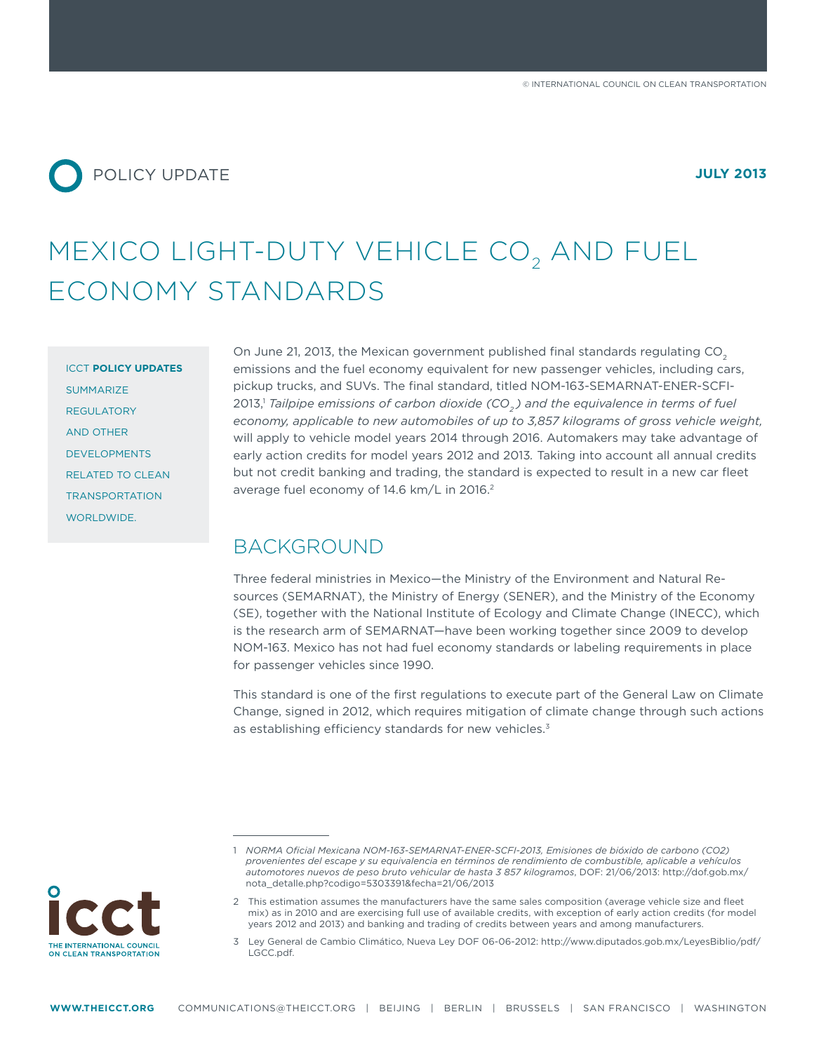

# MEXICO LIGHT-DUTY VEHICLE CO<sub>2</sub> AND FUEL economy standards

ICCT **Policy Updates SUMMARIZE REGULATORY** and other developments related to clean transportation WORLDWIDE

On June 21, 2013, the Mexican government published final standards regulating CO<sub>2</sub> emissions and the fuel economy equivalent for new passenger vehicles, including cars, pickup trucks, and SUVs. The final standard, titled [NOM-163-SEMARNAT-ENER-SCFI-](http://dof.gob.mx/nota_detalle.php?codigo=5303391&fecha=21/06/2013)[2013](http://dof.gob.mx/nota_detalle.php?codigo=5303391&fecha=21/06/2013),1  *Tailpipe emissions of carbon dioxide (CO2 ) and the equivalence in terms of fuel economy, applicable to new automobiles of up to 3,857 kilograms of gross vehicle weight,*  will apply to vehicle model years 2014 through 2016. Automakers may take advantage of early action credits for model years 2012 and 2013*.* Taking into account all annual credits but not credit banking and trading, the standard is expected to result in a new car fleet average fuel economy of 14.6 km/L in 2016.<sup>2</sup>

# **BACKGROUND**

Three federal ministries in Mexico—the Ministry of the Environment and Natural Resources (SEMARNAT), the Ministry of Energy (SENER), and the Ministry of the Economy (SE), together with the National Institute of Ecology and Climate Change (INECC), which is the research arm of SEMARNAT—have been working together since 2009 to develop NOM-163. Mexico has not had fuel economy standards or labeling requirements in place for passenger vehicles since 1990.

This standard is one of the first regulations to execute part of the [General Law on Climate](http://www.dof.gob.mx/ley-reg.php)  [Change,](http://www.dof.gob.mx/ley-reg.php) signed in 2012, which requires mitigation of climate change through such actions as establishing efficiency standards for new vehicles.<sup>3</sup>



3 Ley General de Cambio Climático, Nueva Ley DOF 06-06-2012: http://www.diputados.gob.mx/LeyesBiblio/pdf/ LGCC.pdf.

<sup>1</sup> *NORMA Oficial Mexicana NOM-163-SEMARNAT-ENER-SCFI-2013, Emisiones de bióxido de carbono (CO2) provenientes del escape y su equivalencia en términos de rendimiento de combustible, aplicable a vehículos automotores nuevos de peso bruto vehicular de hasta 3 857 kilogramos*, DOF: 21/06/2013: http://dof.gob.mx/ nota\_detalle.php?codigo=5303391&fecha=21/06/2013

<sup>2</sup> This estimation assumes the manufacturers have the same sales composition (average vehicle size and fleet mix) as in 2010 and are exercising full use of available credits, with exception of early action credits (for model years 2012 and 2013) and banking and trading of credits between years and among manufacturers.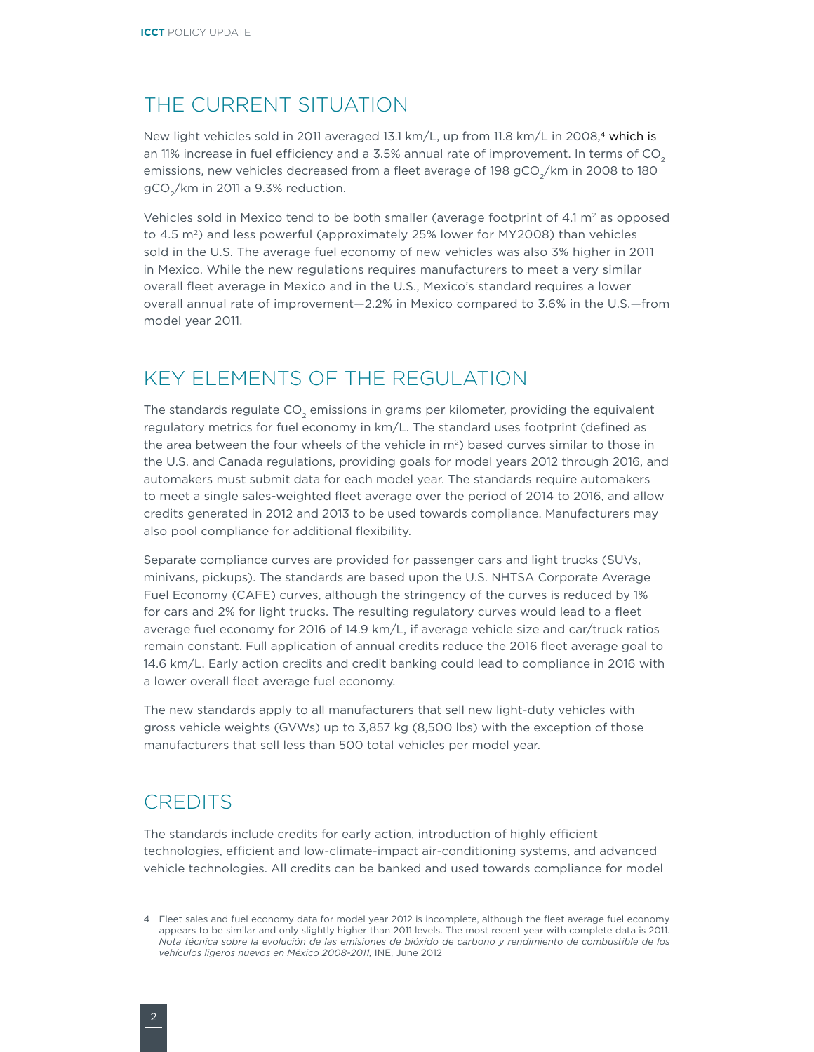# The Current Situation

New light vehicles sold in 2011 averaged 13.1 km/L, up from 11.8 km/L in 2008, 4 which is an 11% increase in fuel efficiency and a 3.5% annual rate of improvement. In terms of  $CO<sub>2</sub>$ emissions, new vehicles decreased from a fleet average of 198 gCO<sub>2</sub>/km in 2008 to 180 gCO<sub>2</sub>/km in 2011 a 9.3% reduction.

Vehicles sold in Mexico tend to be both smaller (average footprint of 4.1  $m<sup>2</sup>$  as opposed to 4.5 m<sup>2</sup>) and less powerful (approximately 25% lower for MY2008) than vehicles sold in the U.S. The average fuel economy of new vehicles was also 3% higher in 2011 in Mexico. While the new regulations requires manufacturers to meet a very similar overall fleet average in Mexico and in the U.S., Mexico's standard requires a lower overall annual rate of improvement—2.2% in Mexico compared to 3.6% in the U.S.—from model year 2011.

# Key Elements of the Regulation

The standards regulate CO<sub>2</sub> emissions in grams per kilometer, providing the equivalent regulatory metrics for fuel economy in km/L. The standard uses footprint (defined as the area between the four wheels of the vehicle in  $m<sup>2</sup>$ ) based curves similar to those in the U.S. and Canada regulations, providing goals for model years 2012 through 2016, and automakers must submit data for each model year. The standards require automakers to meet a single sales-weighted fleet average over the period of 2014 to 2016, and allow credits generated in 2012 and 2013 to be used towards compliance. Manufacturers may also pool compliance for additional flexibility.

Separate compliance curves are provided for passenger cars and light trucks (SUVs, minivans, pickups). The standards are based upon the U.S. NHTSA Corporate Average Fuel Economy (CAFE) curves, although the stringency of the curves is reduced by 1% for cars and 2% for light trucks. The resulting regulatory curves would lead to a fleet average fuel economy for 2016 of 14.9 km/L, if average vehicle size and car/truck ratios remain constant. Full application of annual credits reduce the 2016 fleet average goal to 14.6 km/L. Early action credits and credit banking could lead to compliance in 2016 with a lower overall fleet average fuel economy.

The new standards apply to all manufacturers that sell new light-duty vehicles with gross vehicle weights (GVWs) up to 3,857 kg (8,500 lbs) with the exception of those manufacturers that sell less than 500 total vehicles per model year.

# **CREDITS**

The standards include credits for early action, introduction of highly efficient technologies, efficient and low-climate-impact air-conditioning systems, and advanced vehicle technologies. All credits can be banked and used towards compliance for model

<sup>4</sup> Fleet sales and fuel economy data for model year 2012 is incomplete, although the fleet average fuel economy appears to be similar and only slightly higher than 2011 levels. The most recent year with complete data is 2011. *Nota técnica sobre la evolución de las emisiones de bióxido de carbono y rendimiento de combustible de los vehículos ligeros nuevos en México 2008-2011,* INE, June 2012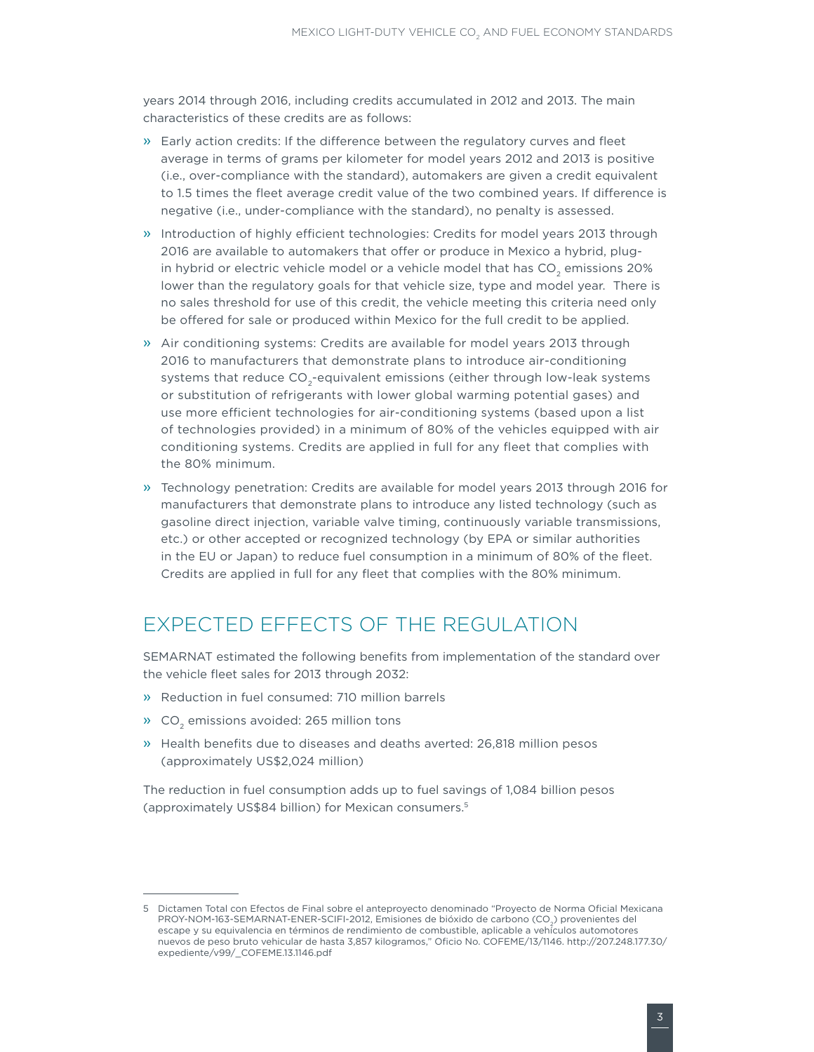years 2014 through 2016, including credits accumulated in 2012 and 2013. The main characteristics of these credits are as follows:

- » Early action credits: If the difference between the regulatory curves and fleet average in terms of grams per kilometer for model years 2012 and 2013 is positive (i.e., over-compliance with the standard), automakers are given a credit equivalent to 1.5 times the fleet average credit value of the two combined years. If difference is negative (i.e., under-compliance with the standard), no penalty is assessed.
- » Introduction of highly efficient technologies: Credits for model years 2013 through 2016 are available to automakers that offer or produce in Mexico a hybrid, plugin hybrid or electric vehicle model or a vehicle model that has CO<sub>2</sub> emissions 20% lower than the regulatory goals for that vehicle size, type and model year. There is no sales threshold for use of this credit, the vehicle meeting this criteria need only be offered for sale or produced within Mexico for the full credit to be applied.
- » Air conditioning systems: Credits are available for model years 2013 through 2016 to manufacturers that demonstrate plans to introduce air-conditioning systems that reduce CO<sub>2</sub>-equivalent emissions (either through low-leak systems) or substitution of refrigerants with lower global warming potential gases) and use more efficient technologies for air-conditioning systems (based upon a list of technologies provided) in a minimum of 80% of the vehicles equipped with air conditioning systems. Credits are applied in full for any fleet that complies with the 80% minimum.
- » Technology penetration: Credits are available for model years 2013 through 2016 for manufacturers that demonstrate plans to introduce any listed technology (such as gasoline direct injection, variable valve timing, continuously variable transmissions, etc.) or other accepted or recognized technology (by EPA or similar authorities in the EU or Japan) to reduce fuel consumption in a minimum of 80% of the fleet. Credits are applied in full for any fleet that complies with the 80% minimum.

### Expected Effects of the Regulation

SEMARNAT estimated the following benefits from implementation of the standard over the vehicle fleet sales for 2013 through 2032:

- » Reduction in fuel consumed: 710 million barrels
- $\gg$  CO<sub>2</sub> emissions avoided: 265 million tons
- » Health benefits due to diseases and deaths averted: 26,818 million pesos (approximately US\$2,024 million)

The reduction in fuel consumption adds up to fuel savings of 1,084 billion pesos (approximately US\$84 billion) for Mexican consumers.5

<sup>5</sup> Dictamen Total con Efectos de Final sobre el anteproyecto denominado "Proyecto de Norma Oficial Mexicana PROY-NOM-163-SEMARNAT-ENER-SCIFI-2012, Emisiones de bióxido de carbono (CO<sub>2</sub>) provenientes del escape y su equivalencia en términos de rendimiento de combustible, aplicable a vehículos automotores nuevos de peso bruto vehicular de hasta 3,857 kilogramos," Oficio No. COFEME/13/1146. http://207.248.177.30/ expediente/v99/\_COFEME.13.1146.pdf